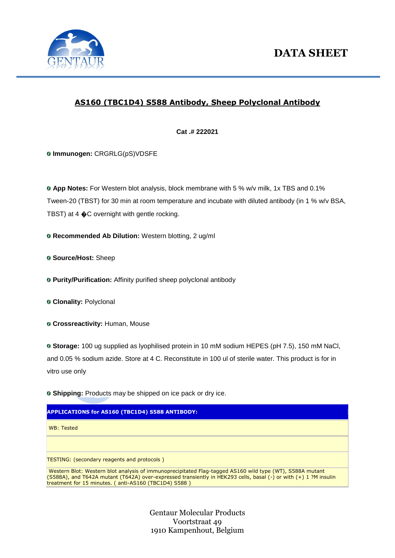

## **AS160 (TBC1D4) S588 Antibody, Sheep Polyclonal Antibody**

**Cat .# 222021**

**Immunogen:** CRGRLG(pS)VDSFE

**App Notes:** For Western blot analysis, block membrane with 5 % w/v milk, 1x TBS and 0.1% Tween-20 (TBST) for 30 min at room temperature and incubate with diluted antibody (in 1 % w/v BSA, TBST) at 4  $\bigcirc$ C overnight with gentle rocking.

**Recommended Ab Dilution:** Western blotting, 2 ug/ml

**G Source/Host: Sheep** 

**Purity/Purification:** Affinity purified sheep polyclonal antibody

**Clonality:** Polyclonal

**Crossreactivity:** Human, Mouse

**Storage:** 100 ug supplied as lyophilised protein in 10 mM sodium HEPES (pH 7.5), 150 mM NaCl, and 0.05 % sodium azide. Store at 4 C. Reconstitute in 100 ul of sterile water. This product is for in vitro use only

**Shipping:** Products may be shipped on ice pack or dry ice.

## **APPLICATIONS for AS160 (TBC1D4) S588 ANTIBODY:**

WB: Tested

TESTING: (secondary reagents and protocols )

Western Blot: Western blot analysis of immunoprecipitated Flag-tagged AS160 wild type (WT), S588A mutant (S588A), and T642A mutant (T642A) over-expressed transiently in HEK293 cells, basal (-) or with (+) 1 ?M insulin treatment for 15 minutes. ( anti-AS160 (TBC1D4) S588 )

> Gentaur Molecular Products Voortstraat 49 1910 Kampenhout, Belgium